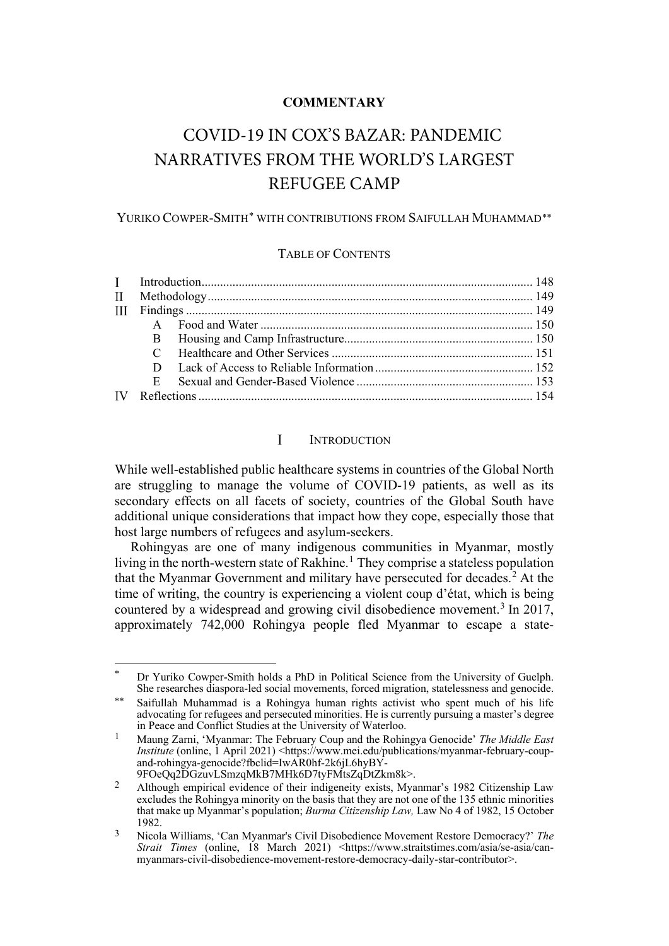# **COMMENTARY**

# COVID-19 IN COX'S BAZAR: PANDEMIC NARRATIVES FROM THE WORLD'S LARGEST REFUGEE CAMP

### YURIKO COWPER-SMITH[\\*](#page-0-1) WITH CONTRIBUTIONS FROM SAIFULLAH MUHAMMAD[∗∗](#page-0-2)

# TABLE OF CONTENTS

#### $\mathbf{I}$ **INTRODUCTION**

<span id="page-0-0"></span>While well-established public healthcare systems in countries of the Global North are struggling to manage the volume of COVID-19 patients, as well as its secondary effects on all facets of society, countries of the Global South have additional unique considerations that impact how they cope, especially those that host large numbers of refugees and asylum-seekers.

Rohingyas are one of many indigenous communities in Myanmar, mostly living in the north-western state of Rakhine.<sup>[1](#page-0-3)</sup> They comprise a stateless population that the Myanmar Government and military have persecuted for decades.<sup>[2](#page-0-4)</sup> At the time of writing, the country is experiencing a violent coup d'état, which is being countered by a widespread and growing civil disobedience movement.<sup>[3](#page-0-5)</sup> In 2017, approximately 742,000 Rohingya people fled Myanmar to escape a state-

<span id="page-0-1"></span>Dr Yuriko Cowper-Smith holds a PhD in Political Science from the University of Guelph. She researches diaspora-led social movements, forced migration, statelessness and genocide.

<span id="page-0-2"></span>Saifullah Muhammad is a Rohingya human rights activist who spent much of his life advocating for refugees and persecuted minorities. He is currently pursuing a master's degree in Peace and Conflict Studies at the University of Waterloo.

<span id="page-0-3"></span><sup>1</sup> Maung Zarni, 'Myanmar: The February Coup and the Rohingya Genocide' *The Middle East Institute* (online, 1 April 2021) <https://www.mei.edu/publications/myanmar-february-coupand-rohingya-genocide?fbclid=IwAR0hf-2k6jL6hyBY-9FOeQq2DGzuvLSmzqMkB7MHk6D7tyFMtsZqDtZkm8k>.

<span id="page-0-4"></span><sup>&</sup>lt;sup>2</sup> Although empirical evidence of their indigeneity exists, Myanmar's 1982 Citizenship Law excludes the Rohingya minority on the basis that they are not one of the 135 ethnic minorities that make up Myanmar's population; *Burma Citizenship Law,* Law No 4 of 1982, 15 October 1982.

<span id="page-0-5"></span><sup>3</sup> Nicola Williams, 'Can Myanmar's Civil Disobedience Movement Restore Democracy?' *The Strait Times* (online, 18 March 2021) <https://www.straitstimes.com/asia/se-asia/canmyanmars-civil-disobedience-movement-restore-democracy-daily-star-contributor>.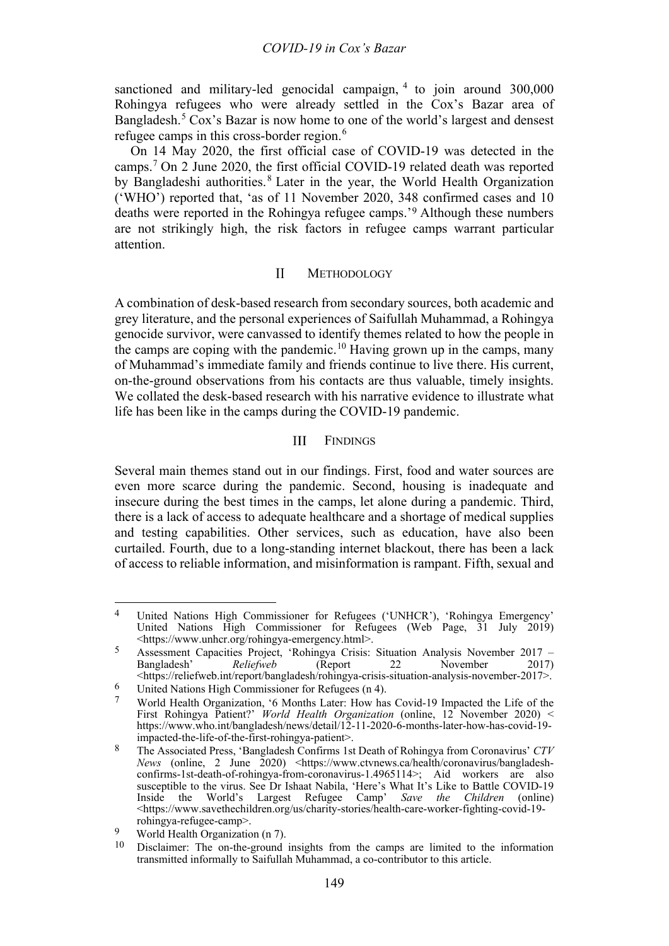sanctioned and military-led genocidal campaign,  $4$  to join around 300,000 Rohingya refugees who were already settled in the Cox's Bazar area of Bangladesh.<sup>[5](#page-1-3)</sup> Cox's Bazar is now home to one of the world's largest and densest refugee camps in this cross-border region.<sup>[6](#page-1-4)</sup>

On 14 May 2020, the first official case of COVID-19 was detected in the camps.[7](#page-1-5) On 2 June 2020, the first official COVID-19 related death was reported by Bangladeshi authorities.<sup>[8](#page-1-6)</sup> Later in the year, the World Health Organization ('WHO') reported that, 'as of 11 November 2020, 348 confirmed cases and 10 deaths were reported in the Rohingya refugee camps.'[9](#page-1-7) Although these numbers are not strikingly high, the risk factors in refugee camps warrant particular attention.

#### $\mathbf{I}$ **METHODOLOGY**

<span id="page-1-0"></span>A combination of desk-based research from secondary sources, both academic and grey literature, and the personal experiences of Saifullah Muhammad, a Rohingya genocide survivor, were canvassed to identify themes related to how the people in the camps are coping with the pandemic.<sup>[10](#page-1-8)</sup> Having grown up in the camps, many of Muhammad's immediate family and friends continue to live there. His current, on-the-ground observations from his contacts are thus valuable, timely insights. We collated the desk-based research with his narrative evidence to illustrate what life has been like in the camps during the COVID-19 pandemic.

#### $III$ FINDINGS

<span id="page-1-1"></span>Several main themes stand out in our findings. First, food and water sources are even more scarce during the pandemic. Second, housing is inadequate and insecure during the best times in the camps, let alone during a pandemic. Third, there is a lack of access to adequate healthcare and a shortage of medical supplies and testing capabilities. Other services, such as education, have also been curtailed. Fourth, due to a long-standing internet blackout, there has been a lack of access to reliable information, and misinformation is rampant. Fifth, sexual and

<span id="page-1-2"></span><sup>4</sup> United Nations High Commissioner for Refugees ('UNHCR'), 'Rohingya Emergency' United Nations High Commissioner for Refugees (Web Page, 31 July 2019) <https://www.unhcr.org/rohingya-emergency.html>.

<span id="page-1-3"></span><sup>&</sup>lt;sup>5</sup> Assessment Capacities Project, 'Rohingya Crisis: Situation Analysis November 2017 – Bangladesh' Reliefweb (Report 22 November 2017) Bangladesh' *Reliefweb* (Report 22 <https://reliefweb.int/report/bangladesh/rohingya-crisis-situation-analysis-november-2017>.

<span id="page-1-5"></span><span id="page-1-4"></span><sup>6</sup> United Nations High Commissioner for Refugees (n 4).

<sup>7</sup> World Health Organization, '6 Months Later: How has Covid-19 Impacted the Life of the First Rohingya Patient?' *World Health Organization* (online, 12 November 2020) < https://www.who.int/bangladesh/news/detail/12-11-2020-6-months-later-how-has-covid-19 impacted-the-life-of-the-first-rohingya-patient>.

<span id="page-1-6"></span><sup>8</sup> The Associated Press, 'Bangladesh Confirms 1st Death of Rohingya from Coronavirus' *CTV News* (online, 2 June 2020) <https://www.ctvnews.ca/health/coronavirus/bangladeshconfirms-1st-death-of-rohingya-from-coronavirus-1.4965114>; Aid workers are also susceptible to the virus. See Dr Ishaat Nabila, 'Here's What It's Like to Battle COVID-19 Inside the World's Largest Refugee Camp' Save the Children (online) the World's Largest Refugee Camp' <https://www.savethechildren.org/us/charity-stories/health-care-worker-fighting-covid-19 rohingya-refugee-camp>.

<span id="page-1-8"></span><span id="page-1-7"></span><sup>9</sup> World Health Organization (n 7).

<sup>10</sup> Disclaimer: The on-the-ground insights from the camps are limited to the information transmitted informally to Saifullah Muhammad, a co-contributor to this article.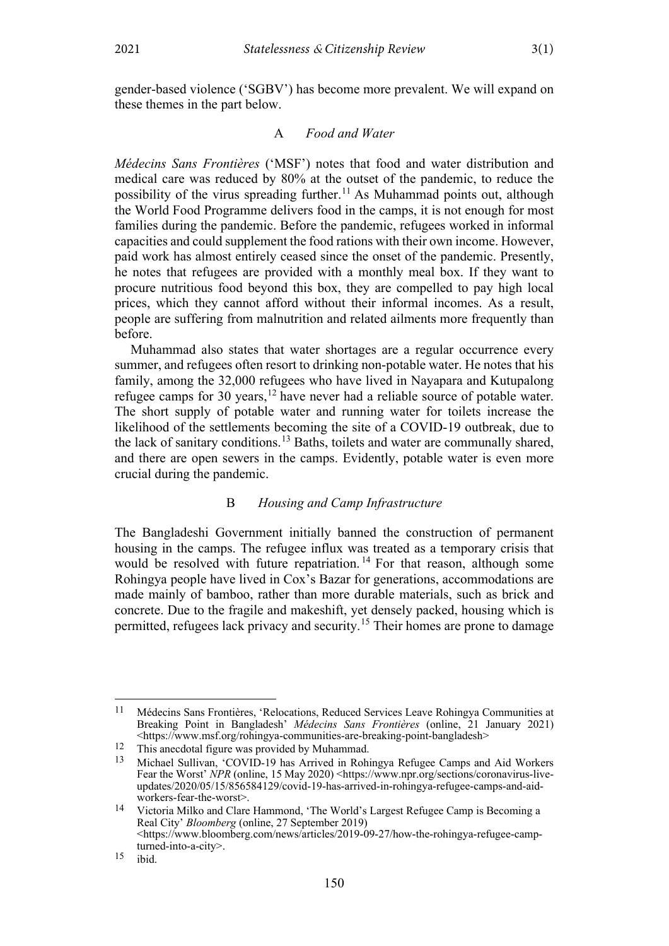<span id="page-2-0"></span>gender-based violence ('SGBV') has become more prevalent. We will expand on these themes in the part below.

# A *Food and Water*

*Médecins Sans Frontières* ('MSF') notes that food and water distribution and medical care was reduced by 80% at the outset of the pandemic, to reduce the possibility of the virus spreading further.<sup>[11](#page-2-2)</sup> As Muhammad points out, although the World Food Programme delivers food in the camps, it is not enough for most families during the pandemic. Before the pandemic, refugees worked in informal capacities and could supplement the food rations with their own income. However, paid work has almost entirely ceased since the onset of the pandemic. Presently, he notes that refugees are provided with a monthly meal box. If they want to procure nutritious food beyond this box, they are compelled to pay high local prices, which they cannot afford without their informal incomes. As a result, people are suffering from malnutrition and related ailments more frequently than before.

Muhammad also states that water shortages are a regular occurrence every summer, and refugees often resort to drinking non-potable water. He notes that his family, among the 32,000 refugees who have lived in Nayapara and Kutupalong refugee camps for 30 years,[12](#page-2-3) have never had a reliable source of potable water. The short supply of potable water and running water for toilets increase the likelihood of the settlements becoming the site of a COVID-19 outbreak, due to the lack of sanitary conditions.<sup>[13](#page-2-4)</sup> Baths, toilets and water are communally shared, and there are open sewers in the camps. Evidently, potable water is even more crucial during the pandemic.

# B *Housing and Camp Infrastructure*

<span id="page-2-1"></span>The Bangladeshi Government initially banned the construction of permanent housing in the camps. The refugee influx was treated as a temporary crisis that would be resolved with future repatriation.<sup>[14](#page-2-5)</sup> For that reason, although some Rohingya people have lived in Cox's Bazar for generations, accommodations are made mainly of bamboo, rather than more durable materials, such as brick and concrete. Due to the fragile and makeshift, yet densely packed, housing which is permitted, refugees lack privacy and security.<sup>[15](#page-2-6)</sup> Their homes are prone to damage

<span id="page-2-2"></span><sup>11</sup> Médecins Sans Frontières, 'Relocations, Reduced Services Leave Rohingya Communities at Breaking Point in Bangladesh' *Médecins Sans Frontières* (online, 21 January 2021) <https://www.msf.org/rohingya-communities-are-breaking-point-bangladesh>

<span id="page-2-4"></span><span id="page-2-3"></span><sup>12</sup> This anecdotal figure was provided by Muhammad.

<sup>13</sup> Michael Sullivan, 'COVID-19 has Arrived in Rohingya Refugee Camps and Aid Workers Fear the Worst' NPR (online, 15 May 2020) <https://www.npr.org/sections/coronavirus-liveupdates/2020/05/15/856584129/covid-19-has-arrived-in-rohingya-refugee-camps-and-aidworkers-fear-the-worst>.

<span id="page-2-5"></span><sup>14</sup> Victoria Milko and Clare Hammond, 'The World's Largest Refugee Camp is Becoming a Real City' *Bloomberg* (online, 27 September 2019) <https://www.bloomberg.com/news/articles/2019-09-27/how-the-rohingya-refugee-campturned-into-a-city>.

<span id="page-2-6"></span> $15$  ibid.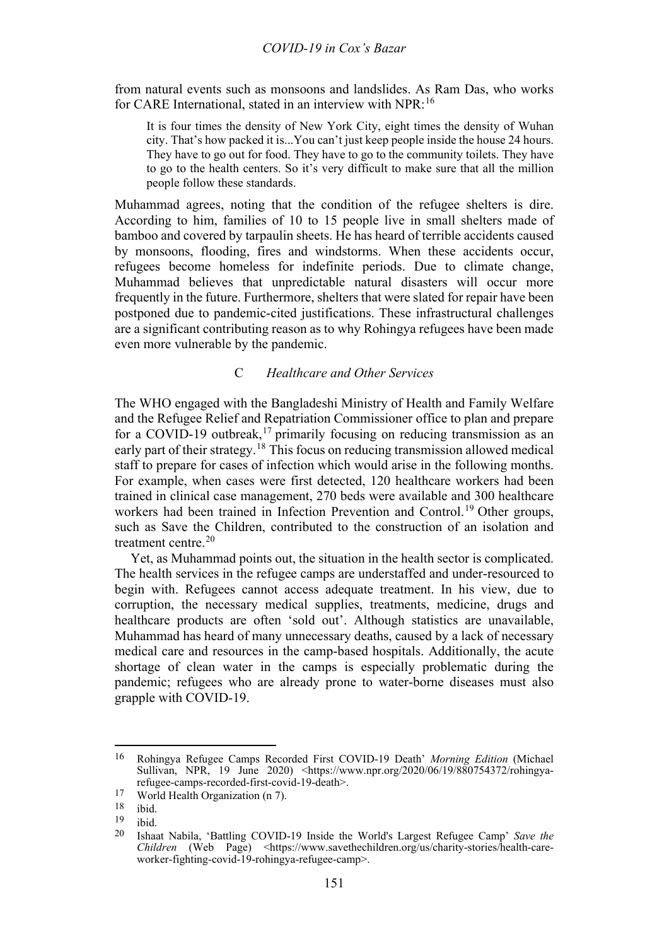### *COVID-19 in Cox's Bazar*

from natural events such as monsoons and landslides. As Ram Das, who works for CARE International, stated in an interview with NPR:[16](#page-3-1)

It is four times the density of New York City, eight times the density of Wuhan city. That's how packed it is...You can't just keep people inside the house 24 hours. They have to go out for food. They have to go to the community toilets. They have to go to the health centers. So it's very difficult to make sure that all the million people follow these standards.

Muhammad agrees, noting that the condition of the refugee shelters is dire. According to him, families of 10 to 15 people live in small shelters made of bamboo and covered by tarpaulin sheets. He has heard of terrible accidents caused by monsoons, flooding, fires and windstorms. When these accidents occur, refugees become homeless for indefinite periods. Due to climate change, Muhammad believes that unpredictable natural disasters will occur more frequently in the future. Furthermore, shelters that were slated for repair have been postponed due to pandemic-cited justifications. These infrastructural challenges are a significant contributing reason as to why Rohingya refugees have been made even more vulnerable by the pandemic.

## C *Healthcare and Other Services*

<span id="page-3-0"></span>The WHO engaged with the Bangladeshi Ministry of Health and Family Welfare and the Refugee Relief and Repatriation Commissioner office to plan and prepare for a COVID-19 outbreak,<sup>[17](#page-3-2)</sup> primarily focusing on reducing transmission as an early part of their strategy.<sup>[18](#page-3-3)</sup> This focus on reducing transmission allowed medical staff to prepare for cases of infection which would arise in the following months. For example, when cases were first detected, 120 healthcare workers had been trained in clinical case management, 270 beds were available and 300 healthcare workers had been trained in Infection Prevention and Control.<sup>[19](#page-3-4)</sup> Other groups, such as Save the Children, contributed to the construction of an isolation and treatment centre.<sup>[20](#page-3-5)</sup>

Yet, as Muhammad points out, the situation in the health sector is complicated. The health services in the refugee camps are understaffed and under-resourced to begin with. Refugees cannot access adequate treatment. In his view, due to corruption, the necessary medical supplies, treatments, medicine, drugs and healthcare products are often 'sold out'. Although statistics are unavailable, Muhammad has heard of many unnecessary deaths, caused by a lack of necessary medical care and resources in the camp-based hospitals. Additionally, the acute shortage of clean water in the camps is especially problematic during the pandemic; refugees who are already prone to water-borne diseases must also grapple with COVID-19.

<span id="page-3-1"></span><sup>16</sup> Rohingya Refugee Camps Recorded First COVID-19 Death' *Morning Edition* (Michael Sullivan, NPR, 19 June 2020) <https://www.npr.org/2020/06/19/880754372/rohingyarefugee-camps-recorded-first-covid-19-death>.

<span id="page-3-2"></span><sup>&</sup>lt;sup>17</sup> World Health Organization (n 7).<br><sup>18</sup> ibid

 $\frac{18}{19}$  ibid.

<span id="page-3-5"></span><span id="page-3-4"></span><span id="page-3-3"></span> $\frac{19}{20}$  ibid.

<sup>20</sup> Ishaat Nabila, 'Battling COVID-19 Inside the World's Largest Refugee Camp' *Save the Children* (Web Page) <https://www.savethechildren.org/us/charity-stories/health-careworker-fighting-covid-19-rohingya-refugee-camp>.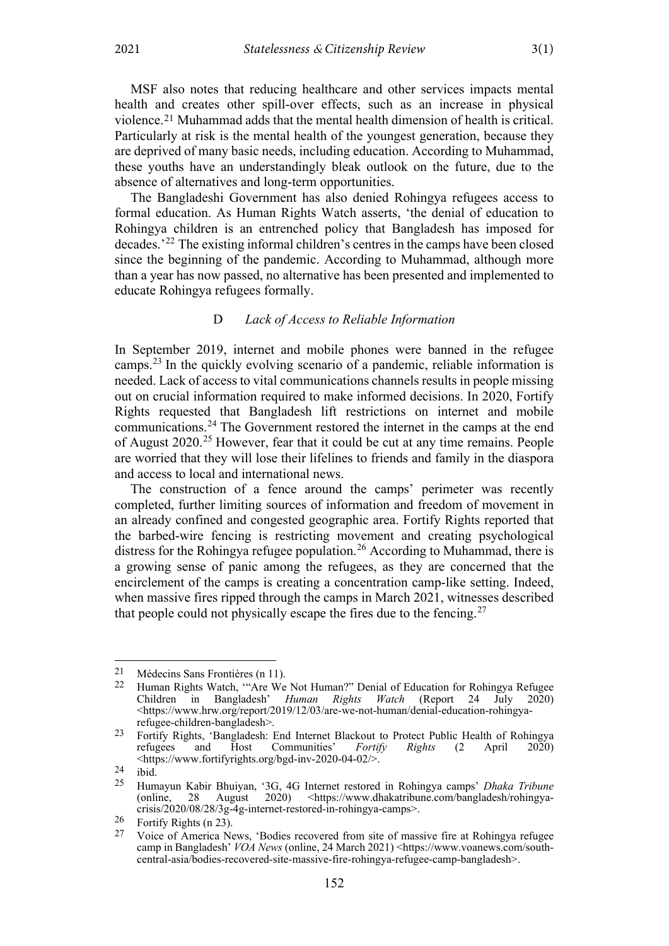MSF also notes that reducing healthcare and other services impacts mental health and creates other spill-over effects, such as an increase in physical violence.[21](#page-4-1) Muhammad adds that the mental health dimension of health is critical. Particularly at risk is the mental health of the youngest generation, because they are deprived of many basic needs, including education. According to Muhammad, these youths have an understandingly bleak outlook on the future, due to the absence of alternatives and long-term opportunities.

The Bangladeshi Government has also denied Rohingya refugees access to formal education. As Human Rights Watch asserts, 'the denial of education to Rohingya children is an entrenched policy that Bangladesh has imposed for decades.'[22](#page-4-2) The existing informal children's centres in the camps have been closed since the beginning of the pandemic. According to Muhammad, although more than a year has now passed, no alternative has been presented and implemented to educate Rohingya refugees formally.

# D *Lack of Access to Reliable Information*

<span id="page-4-0"></span>In September 2019, internet and mobile phones were banned in the refugee camps.[23](#page-4-3) In the quickly evolving scenario of a pandemic, reliable information is needed. Lack of access to vital communications channels results in people missing out on crucial information required to make informed decisions. In 2020, Fortify Rights requested that Bangladesh lift restrictions on internet and mobile communications.[24](#page-4-4) The Government restored the internet in the camps at the end of August 2020.[25](#page-4-5) However, fear that it could be cut at any time remains. People are worried that they will lose their lifelines to friends and family in the diaspora and access to local and international news.

The construction of a fence around the camps' perimeter was recently completed, further limiting sources of information and freedom of movement in an already confined and congested geographic area. Fortify Rights reported that the barbed-wire fencing is restricting movement and creating psychological distress for the Rohingya refugee population.<sup>[26](#page-4-6)</sup> According to Muhammad, there is a growing sense of panic among the refugees, as they are concerned that the encirclement of the camps is creating a concentration camp-like setting. Indeed, when massive fires ripped through the camps in March 2021, witnesses described that people could not physically escape the fires due to the fencing.<sup>[27](#page-4-7)</sup>

<span id="page-4-2"></span><span id="page-4-1"></span><sup>&</sup>lt;sup>21</sup> Médecins Sans Frontières (n 11).<br><sup>22</sup> Ulyman Bights Watch. *"Ans* Wa

<sup>22</sup> Human Rights Watch, '"Are We Not Human?" Denial of Education for Rohingya Refugee Children in Bangladesh' *Human Rights Watch* (Report 24 July 2020) <https://www.hrw.org/report/2019/12/03/are-we-not-human/denial-education-rohingyarefugee-children-bangladesh>.

<span id="page-4-3"></span><sup>23</sup> Fortify Rights, 'Bangladesh: End Internet Blackout to Protect Public Health of Rohingya refugees and Host Communities' *Fortify Rights* (2 April 2020) <https://www.fortifyrights.org/bgd-inv-2020-04-02/>.

<span id="page-4-5"></span><span id="page-4-4"></span> $\frac{24}{25}$  ibid.

<sup>25</sup> Humayun Kabir Bhuiyan, '3G, 4G Internet restored in Rohingya camps' *Dhaka Tribune*  (online, 28 August 2020) <https://www.dhakatribune.com/bangladesh/rohingyacrisis/2020/08/28/3g-4g-internet-restored-in-rohingya-camps>.

<span id="page-4-7"></span><span id="page-4-6"></span> $\frac{26}{27}$  Fortify Rights (n 23).

<sup>27</sup> Voice of America News, 'Bodies recovered from site of massive fire at Rohingya refugee camp in Bangladesh' *VOA News* (online, 24 March 2021) <https://www.voanews.com/southcentral-asia/bodies-recovered-site-massive-fire-rohingya-refugee-camp-bangladesh>.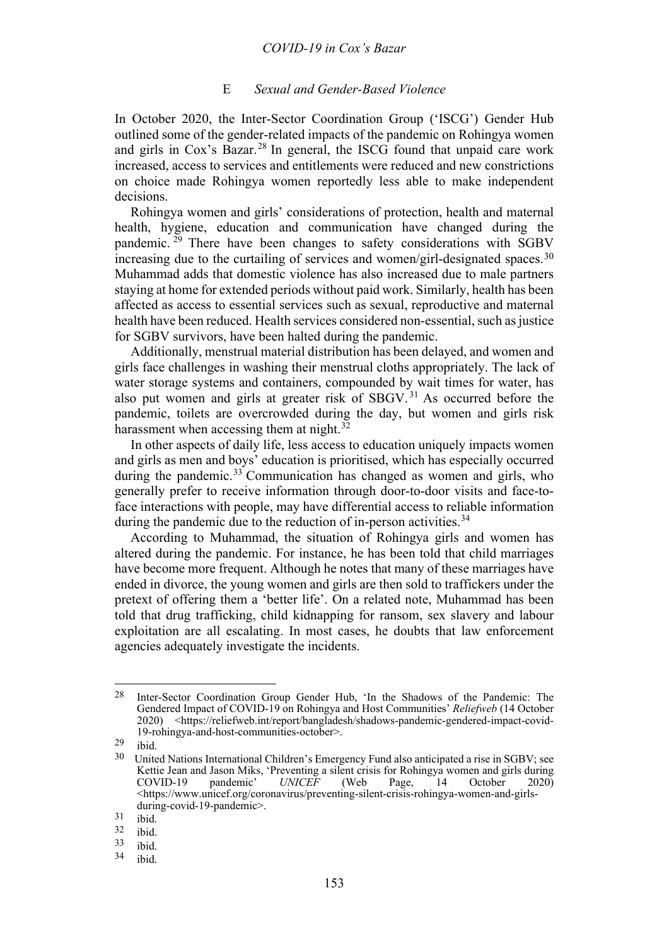### *COVID-19 in Cox's Bazar*

### E *Sexual and Gender-Based Violence*

<span id="page-5-0"></span>In October 2020, the Inter-Sector Coordination Group ('ISCG') Gender Hub outlined some of the gender-related impacts of the pandemic on Rohingya women and girls in Cox's Bazar.<sup>[28](#page-5-1)</sup> In general, the ISCG found that unpaid care work increased, access to services and entitlements were reduced and new constrictions on choice made Rohingya women reportedly less able to make independent decisions.

Rohingya women and girls' considerations of protection, health and maternal health, hygiene, education and communication have changed during the pandemic. [29](#page-5-2) There have been changes to safety considerations with SGBV increasing due to the curtailing of services and women/girl-designated spaces.<sup>[30](#page-5-3)</sup> Muhammad adds that domestic violence has also increased due to male partners staying at home for extended periods without paid work. Similarly, health has been affected as access to essential services such as sexual, reproductive and maternal health have been reduced. Health services considered non-essential, such as justice for SGBV survivors, have been halted during the pandemic.

Additionally, menstrual material distribution has been delayed, and women and girls face challenges in washing their menstrual cloths appropriately. The lack of water storage systems and containers, compounded by wait times for water, has also put women and girls at greater risk of SBGV.<sup>[31](#page-5-4)</sup> As occurred before the pandemic, toilets are overcrowded during the day, but women and girls risk harassment when accessing them at night. $32$ 

In other aspects of daily life, less access to education uniquely impacts women and girls as men and boys' education is prioritised, which has especially occurred during the pandemic.<sup>[33](#page-5-6)</sup> Communication has changed as women and girls, who generally prefer to receive information through door-to-door visits and face-toface interactions with people, may have differential access to reliable information during the pandemic due to the reduction of in-person activities.<sup>[34](#page-5-7)</sup>

According to Muhammad, the situation of Rohingya girls and women has altered during the pandemic. For instance, he has been told that child marriages have become more frequent. Although he notes that many of these marriages have ended in divorce, the young women and girls are then sold to traffickers under the pretext of offering them a 'better life'. On a related note, Muhammad has been told that drug trafficking, child kidnapping for ransom, sex slavery and labour exploitation are all escalating. In most cases, he doubts that law enforcement agencies adequately investigate the incidents.

ibid.

<span id="page-5-1"></span><sup>28</sup> Inter-Sector Coordination Group Gender Hub, 'In the Shadows of the Pandemic: The Gendered Impact of COVID-19 on Rohingya and Host Communities' *Reliefweb* (14 October 2020) <https://reliefweb.int/report/bangladesh/shadows-pandemic-gendered-impact-covid-19-rohingya-and-host-communities-october>.

<span id="page-5-3"></span><span id="page-5-2"></span> $\frac{29}{30}$  ibid.

<sup>30</sup> United Nations International Children's Emergency Fund also anticipated a rise in SGBV; see Kettie Jean and Jason Miks, 'Preventing a silent crisis for Rohingya women and girls during<br>COVID-19 pandemic' UNICEF (Web Page, 14 October 2020) COVID-19 pandemic' *UNICEF* (Web Page, 14 October 2020) <https://www.unicef.org/coronavirus/preventing-silent-crisis-rohingya-women-and-girlsduring-covid-19-pandemic>.

<span id="page-5-4"></span> $\frac{31}{32}$  ibid.

<span id="page-5-5"></span> $\frac{32}{33}$  ibid.

<span id="page-5-7"></span><span id="page-5-6"></span> $\frac{33}{34}$  ibid.